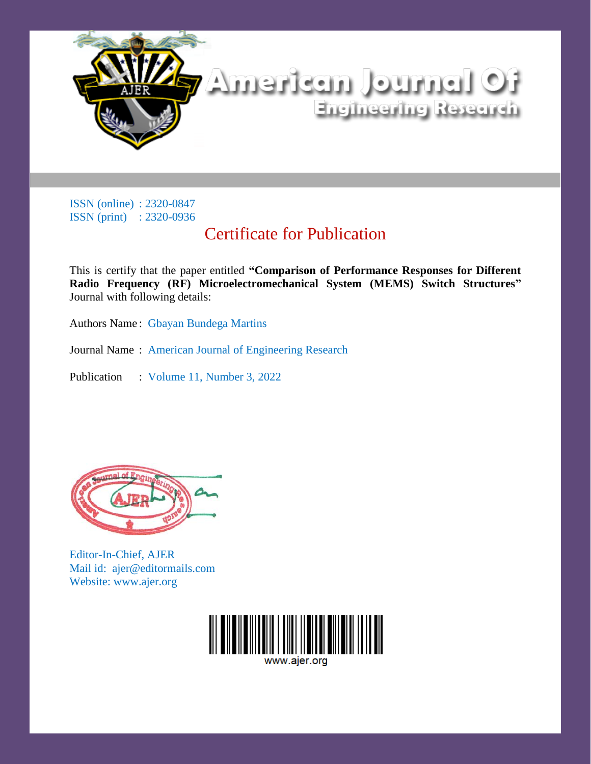

## Certificate for Publication

This is certify that the paper entitled **"Comparison of Performance Responses for Different Radio Frequency (RF) Microelectromechanical System (MEMS) Switch Structures"** Journal with following details:

Authors Name : Gbayan Bundega Martins

Journal Name : American Journal of Engineering Research

Publication : Volume 11, Number 3, 2022



Editor-In-Chief, AJER Mail id: ajer@editormails.com Website: www.ajer.org

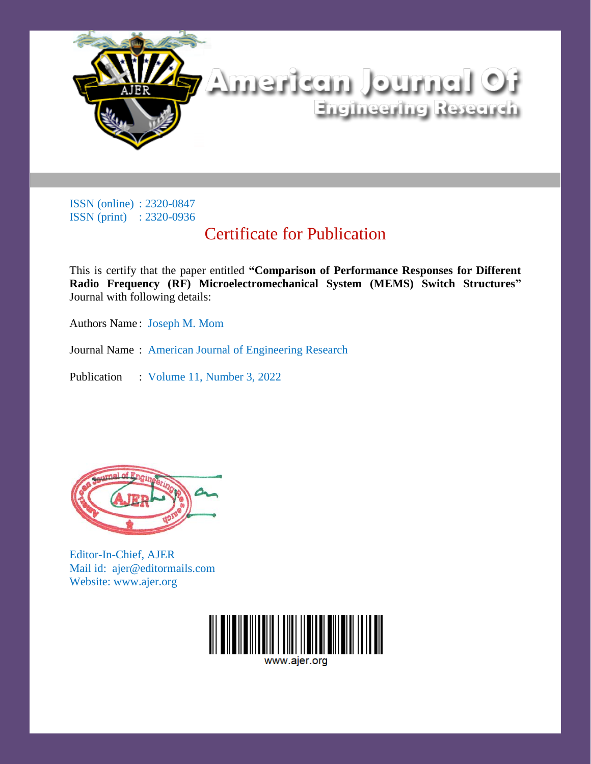

## Certificate for Publication

This is certify that the paper entitled **"Comparison of Performance Responses for Different Radio Frequency (RF) Microelectromechanical System (MEMS) Switch Structures"** Journal with following details:

Authors Name : Joseph M. Mom

Journal Name : American Journal of Engineering Research

Publication : Volume 11, Number 3, 2022



Editor-In-Chief, AJER Mail id: ajer@editormails.com Website: www.ajer.org

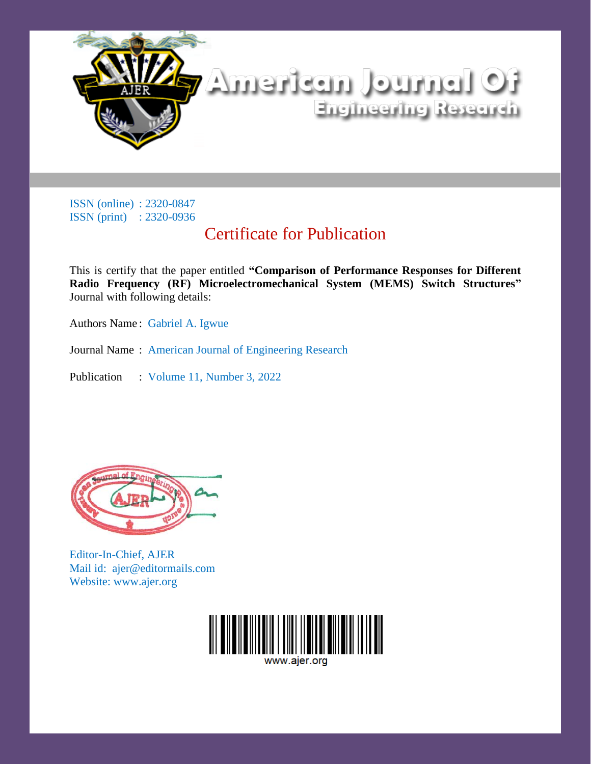

## Certificate for Publication

This is certify that the paper entitled **"Comparison of Performance Responses for Different Radio Frequency (RF) Microelectromechanical System (MEMS) Switch Structures"** Journal with following details:

Authors Name : Gabriel A. Igwue

Journal Name : American Journal of Engineering Research

Publication : Volume 11, Number 3, 2022



Editor-In-Chief, AJER Mail id: ajer@editormails.com Website: www.ajer.org